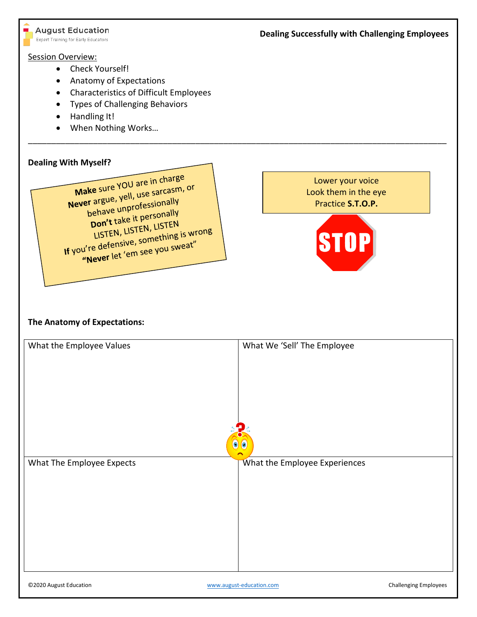#### **August Education**

Expert Training for Early Educators

# **Dealing Successfully with Challenging Employees**

#### Session Overview:

- Check Yourself!
- Anatomy of Expectations
- Characteristics of Difficult Employees
- Types of Challenging Behaviors
- Handling It!
- When Nothing Works…

# **Dealing With Myself?**

Make sure YOU are in charge Make sure YOU are in charge<br>Never argue, yell, use sarcasm, or or argue, yell, use so. 5<br>behave unprofessionally<br>behave unprofessionally pehave unprofessionally<br>Don't take it personally Don't take it person<br>LISTEN, LISTEN, LISTEN<br>LISTEN, Live something **Don t LISTEN, LISTEN**<br>LISTEN, LISTEN, LISTEN<br>If you're defensive, something is wrong u're defensive, sometiming in the little state.

Lower your voice Look them in the eye Practice **S.T.O.P.**



# **The Anatomy of Expectations:**

| What the Employee Values  | What We 'Sell' The Employee   |
|---------------------------|-------------------------------|
| $\odot$                   | $\bullet$                     |
| What The Employee Expects | What the Employee Experiences |
|                           |                               |

\_\_\_\_\_\_\_\_\_\_\_\_\_\_\_\_\_\_\_\_\_\_\_\_\_\_\_\_\_\_\_\_\_\_\_\_\_\_\_\_\_\_\_\_\_\_\_\_\_\_\_\_\_\_\_\_\_\_\_\_\_\_\_\_\_\_\_\_\_\_\_\_\_\_\_\_\_\_\_\_\_\_\_\_\_\_\_\_\_\_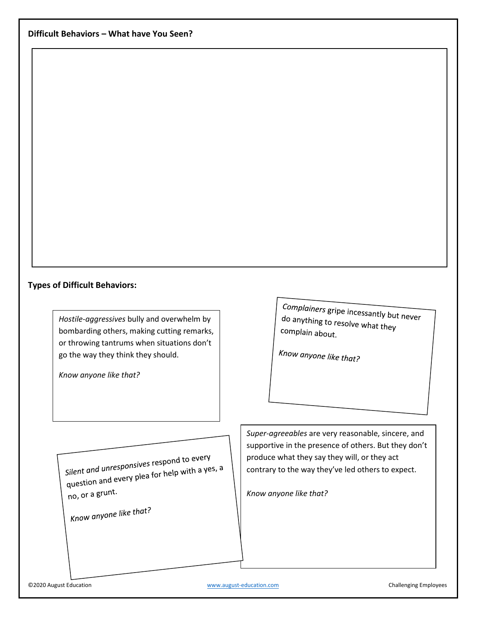#### **Types of Difficult Behaviors:**

*Hostile-aggressives* bully and overwhelm by bombarding others, making cutting remarks, or throwing tantrums when situations don't go the way they think they should.

*Know anyone like that?*

Complainers gripe incessantly but never<br>do anything to reach do anything to resolve what they complain about.

Know anyone like that?

Silent and unresponsives respond to every Silent and unresponsives respond to every,<br>question and every plea for help with a yes, a no, or a grunt.

Know anyone like that?

*Super-agreeables* are very reasonable, sincere, and supportive in the presence of others. But they don't produce what they say they will, or they act contrary to the way they've led others to expect.

*Know anyone like that?*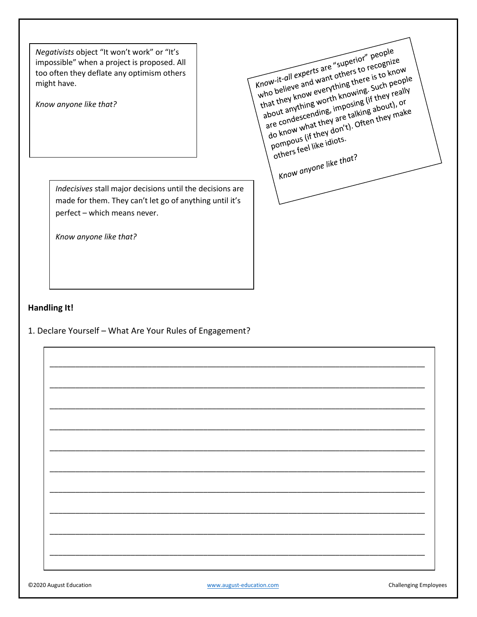Negativists object "It won't work" or "It's impossible" when a project is proposed. All too often they deflate any optimism others might have.

Know anyone like that?

Indecisives stall major decisions until the decisions are made for them. They can't let go of anything until it's perfect - which means never.

Know anyone like that?



#### **Handling It!**

1. Declare Yourself - What Are Your Rules of Engagement?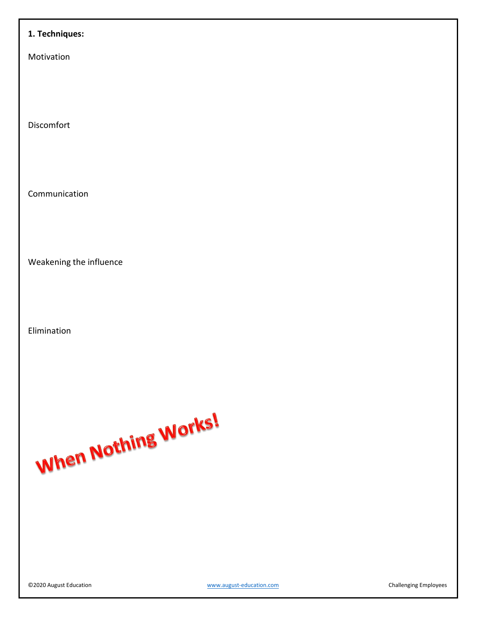# **1. Techniques:**

Motivation

Discomfort

Communication

Weakening the influence

Elimination

When Nothing Works!